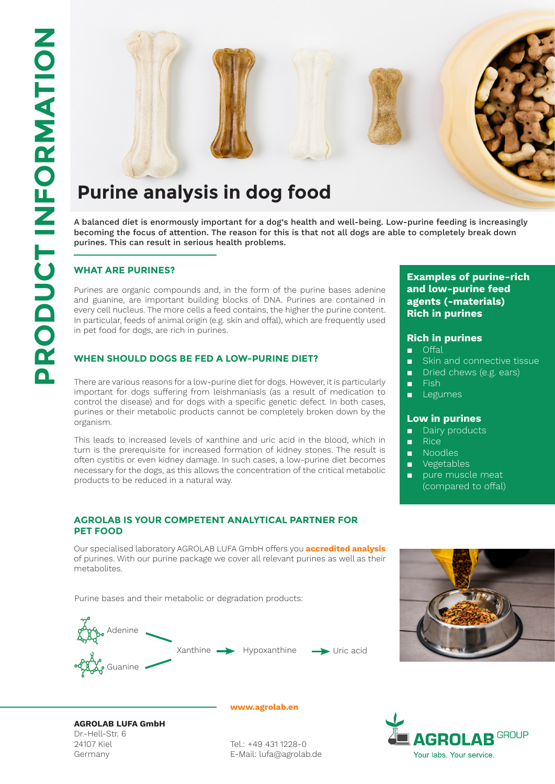

A balanced diet is enormously important for a dog's health and well-being. Low-purine feeding is increasingly becoming the focus of attention. The reason for this is that not all dogs are able to completely break down purines. This can result in serious health problems.

### **WHAT ARE PURINES?**

Purines are organic compounds and, in the form of the purine bases adenine and guanine, are important building blocks of DNA. Purines are contained in every cell nucleus. The more cells a feed contains, the higher the purine content. In particular, feeds of animal origin (e.g. skin and offal), which are frequently used in pet food for dogs, are rich in purines.

#### **WHEN SHOULD DOGS BE FED A LOW-PURINE DIET?**

There are various reasons for a low-purine diet for dogs. However, it is particularly important for dogs suffering from leishmaniasis (as a result of medication to control the disease) and for dogs with a specific genetic defect. In both cases, purines or their metabolic products cannot be completely broken down by the organism.

This leads to increased levels of xanthine and uric acid in the blood, which in turn is the prerequisite for increased formation of kidney stones. The result is often cystitis or even kidney damage. In such cases, a low-purine diet becomes necessary for the dogs, as this allows the concentration of the critical metabolic products to be reduced in a natural way.

#### **AGROLAB IS YOUR COMPETENT ANALYTICAL PARTNER FOR PET FOOD**

Our specialised laboratory AGROLAB LUFA GmbH offers you **accredited analysis**  of purines. With our purine package we cover all relevant purines as well as their metabolites.

Purine bases and their metabolic or degradation products:







**www.agrolab.en**

Tel.: +49 431 1228-0 E-Mail: lufa@agrolab.de

# **AGROLAB GROUP** Your labs. Your service.

## **Examples of purine-rich and low-purine feed agents (-materials) Rich in purines**

#### **Rich in purines**

- Offal
- Skin and connective tissue
- Dried chews (e.g. ears)
- Fish
- Legumes

#### **Low in purines**

- Dairy products
- Rice
- Noodles
- Vegetables
- pure muscle meat (compared to offal)